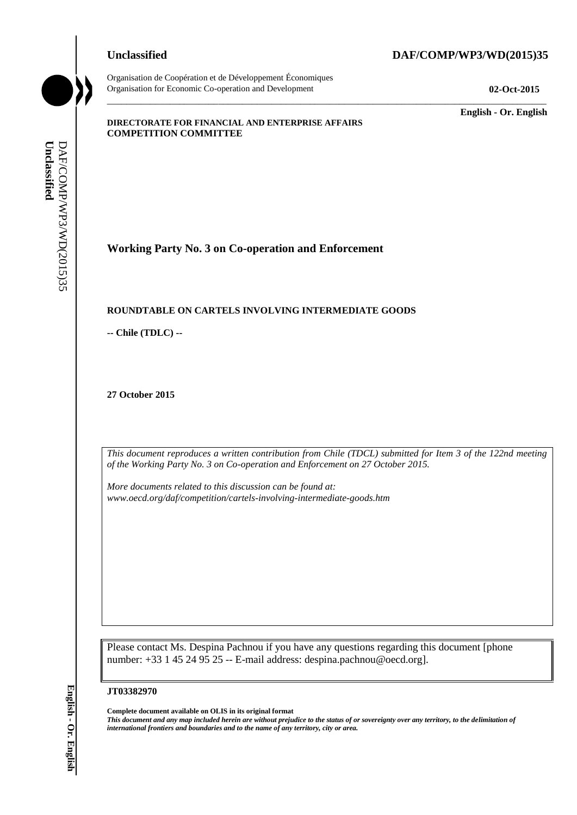Organisation de Coopération et de Développement Économiques Organisation for Economic Co-operation and Development **02-Oct-2015**

# **Unclassified DAF/COMP/WP3/WD(2015)35**

\_\_\_\_\_\_\_\_\_\_\_\_\_ **English - Or. English**

#### **DIRECTORATE FOR FINANCIAL AND ENTERPRISE AFFAIRS COMPETITION COMMITTEE**

**Working Party No. 3 on Co-operation and Enforcement**

### **ROUNDTABLE ON CARTELS INVOLVING INTERMEDIATE GOODS**

**-- Chile (TDLC) --**

**27 October 2015**

*This document reproduces a written contribution from Chile (TDCL) submitted for Item 3 of the 122nd meeting of the Working Party No. 3 on Co-operation and Enforcement on 27 October 2015.* 

\_\_\_\_\_\_\_\_\_\_\_\_\_\_\_\_\_\_\_\_\_\_\_\_\_\_\_\_\_\_\_\_\_\_\_\_\_\_\_\_\_\_\_\_\_\_\_\_\_\_\_\_\_\_\_\_\_\_\_\_\_\_\_\_\_\_\_\_\_\_\_\_\_\_\_\_\_\_\_\_\_\_\_\_\_\_\_\_\_\_\_

*More documents related to this discussion can be found at: www.oecd.org/daf/competition/cartels-involving-intermediate-goods.htm*

Please contact Ms. Despina Pachnou if you have any questions regarding this document [phone number: +33 1 45 24 95 25 -- E-mail address: despina.pachnou@oecd.org].

#### **JT03382970**

**Complete document available on OLIS in its original format** *This document and any map included herein are without prejudice to the status of or sovereignty over any territory, to the delimitation of*  **iii** *international frontiers and boundaries and to the name of any territorial particles and DAF/COMP/WP3/WD(2015)*<br> **iii** *Chile (TDLC)* **-<br>
27 October 2015<br>
27 October 2015<br>
<b>iii** *international reproduces a written co*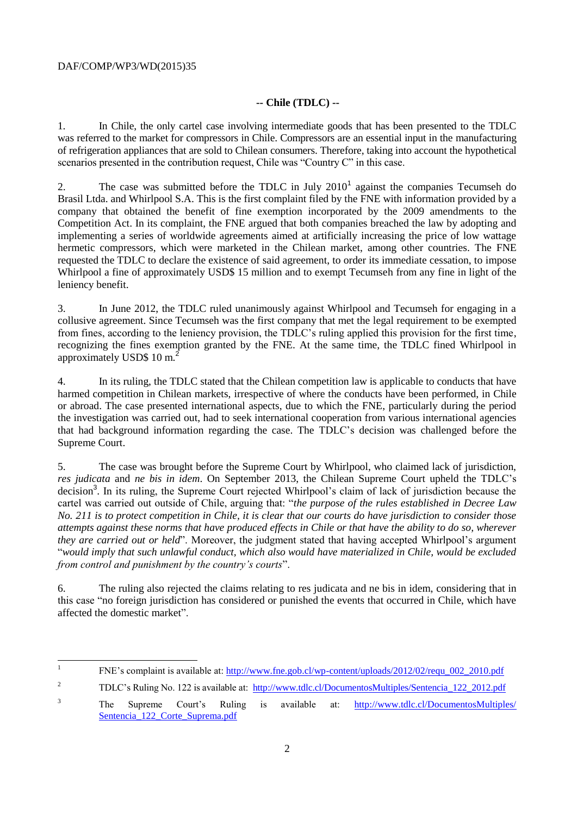### DAF/COMP/WP3/WD(2015)35

# **-- Chile (TDLC) --**

1. In Chile, the only cartel case involving intermediate goods that has been presented to the TDLC was referred to the market for compressors in Chile. Compressors are an essential input in the manufacturing of refrigeration appliances that are sold to Chilean consumers. Therefore, taking into account the hypothetical scenarios presented in the contribution request, Chile was "Country C" in this case.

2. The case was submitted before the TDLC in July  $2010<sup>1</sup>$  against the companies Tecumseh do Brasil Ltda. and Whirlpool S.A. This is the first complaint filed by the FNE with information provided by a company that obtained the benefit of fine exemption incorporated by the 2009 amendments to the Competition Act. In its complaint, the FNE argued that both companies breached the law by adopting and implementing a series of worldwide agreements aimed at artificially increasing the price of low wattage hermetic compressors, which were marketed in the Chilean market, among other countries. The FNE requested the TDLC to declare the existence of said agreement, to order its immediate cessation, to impose Whirlpool a fine of approximately USD\$ 15 million and to exempt Tecumseh from any fine in light of the leniency benefit.

3. In June 2012, the TDLC ruled unanimously against Whirlpool and Tecumseh for engaging in a collusive agreement. Since Tecumseh was the first company that met the legal requirement to be exempted from fines, according to the leniency provision, the TDLC's ruling applied this provision for the first time, recognizing the fines exemption granted by the FNE. At the same time, the TDLC fined Whirlpool in approximately USD\$ 10 m.<sup>2</sup>

4. In its ruling, the TDLC stated that the Chilean competition law is applicable to conducts that have harmed competition in Chilean markets, irrespective of where the conducts have been performed, in Chile or abroad. The case presented international aspects, due to which the FNE, particularly during the period the investigation was carried out, had to seek international cooperation from various international agencies that had background information regarding the case. The TDLC's decision was challenged before the Supreme Court.

5. The case was brought before the Supreme Court by Whirlpool, who claimed lack of jurisdiction, *res judicata* and *ne bis in idem*. On September 2013, the Chilean Supreme Court upheld the TDLC's decision<sup>3</sup>. In its ruling, the Supreme Court rejected Whirlpool's claim of lack of jurisdiction because the cartel was carried out outside of Chile, arguing that: "*the purpose of the rules established in Decree Law No. 211 is to protect competition in Chile, it is clear that our courts do have jurisdiction to consider those attempts against these norms that have produced effects in Chile or that have the ability to do so, wherever they are carried out or held*". Moreover, the judgment stated that having accepted Whirlpool's argument "*would imply that such unlawful conduct, which also would have materialized in Chile, would be excluded from control and punishment by the country's courts*".

6. The ruling also rejected the claims relating to res judicata and ne bis in idem, considering that in this case "no foreign jurisdiction has considered or punished the events that occurred in Chile, which have affected the domestic market".

<sup>|&</sup>lt;br>|<br>| FNE's complaint is available at: [http://www.fne.gob.cl/wp-content/uploads/2012/02/requ\\_002\\_2010.pdf](http://www.fne.gob.cl/wp-content/uploads/2012/02/requ_002_2010.pdf)

<sup>&</sup>lt;sup>2</sup> TDLC's Ruling No. 122 is available at: [http://www.tdlc.cl/DocumentosMultiples/Sentencia\\_122\\_2012.pdf](http://www.tdlc.cl/DocumentosMultiples/Sentencia_122_2012.pdf)

<sup>&</sup>lt;sup>3</sup> The Supreme Court's Ruling is available at: [http://www.tdlc.cl/DocumentosMultiples/](http://www.tdlc.cl/DocumentosMultiples/Sentencia_122_Corte_Suprema.pdf) Sentencia 122 Corte Suprema.pdf